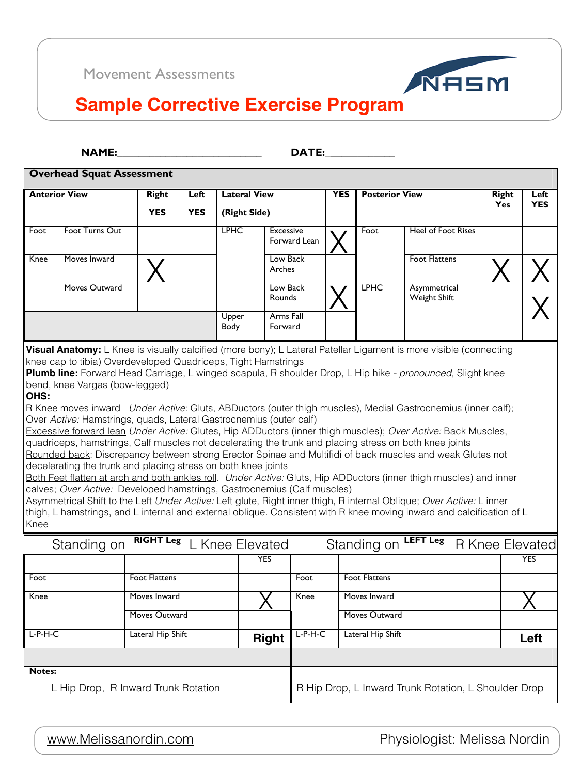**!"#\$%&&&&&&&&&&&&&&&&&&&&&&&&&&&' (")\$%&&&&&&&&&&&&&**

**Overhead Squat Assessment** 

**Visual Anatomy:** L Knee is visually calcified (more bony); L Lateral Patellar Ligament is more visible (connecting knee cap to tibia) Overdeveloped Quadriceps, Tight Hamstrings

bend, knee Vargas (bow-legged) and the state of the state of the state of the state of the state of the state of the state of the state of the state of the state of the state of the state of the state of the state of the s **Plumb line:** Forward Head Carriage, L winged scapula, R shoulder Drop, L Hip hike *- pronounced,* Slight knee

R Knee moves inward *Under Active*: Gluts, ABDuctors (outer thigh muscles), Medial Gastrocnemius (inner calf); Over *Active:* Hamstrings, quads, Lateral Gastrocnemius (outer calf)

Excessive forward lean *Under Active:* Glutes, Hip ADDuctors (inner thigh muscles); *Over Active:* Back Muscles, Rounded back: Discrepancy between strong Erector Spinae and Multifidi of back muscles and weak Glutes not quadriceps, hamstrings, Calf muscles not decelerating the trunk and placing stress on both knee joints decelerating the trunk and placing stress on both knee joints

Both Feet flatten at arch and both ankles roll. *Under Active:* Gluts, Hip ADDuctors (inner thigh muscles) and inner calves; *Over Active:* Developed hamstrings, Gastrocnemius (Calf muscles)

|      | <b>Anterior View</b> | <b>Right</b><br><b>YES</b> | Left<br><b>YES</b> | <b>Lateral View</b><br>(Right Side) |                                  | <b>YES</b> | <b>Posterior View</b> |                                     | <b>Right</b><br><b>Yes</b> | Left<br><b>YES</b> |
|------|----------------------|----------------------------|--------------------|-------------------------------------|----------------------------------|------------|-----------------------|-------------------------------------|----------------------------|--------------------|
| Foot | Foot Turns Out       |                            |                    | <b>LPHC</b>                         | <b>Excessive</b><br>Forward Lean |            | Foot                  | <b>Heel of Foot Rises</b>           |                            |                    |
| Knee | Moves Inward         |                            |                    |                                     | Low Back<br>Arches               |            |                       | <b>Foot Flattens</b>                |                            |                    |
|      | Moves Outward        |                            |                    |                                     | Low Back<br>Rounds               |            | <b>LPHC</b>           | Asymmetrical<br><b>Weight Shift</b> |                            |                    |
|      |                      |                            |                    | Upper<br>Body                       | Arms Fall<br>Forward             |            |                       |                                     |                            |                    |

#### **OHS:**



<u>rement Assessments</u> Movement Assessments



#### $\overline{\phantom{a}}$ **Sample Corrective Exercise Program**

**187=A,'?,='123/4'"55,556,74'** Asymmetrical Shift to the Left *Under Active:* Left glute, Right inner thigh, R internal Oblique; *Over Active:* L inner thigh, L hamstrings, and L internal and external oblique. Consistent with R knee moving inward and calcification of L Knee

| Standing on | . on RIGHT Leg L Knee Elevatedl |            |      | Standing on LEFT Leg R Knee Elevated |  |     |
|-------------|---------------------------------|------------|------|--------------------------------------|--|-----|
|             |                                 | <b>YES</b> |      |                                      |  | YES |
| Foot        | <b>Foot Flattens</b>            |            | Foot | <b>Foot Flattens</b>                 |  |     |

| .                                   |                   |              | .         |                                                      |      |
|-------------------------------------|-------------------|--------------|-----------|------------------------------------------------------|------|
| Knee                                | Moves Inward      |              | Knee      | Moves Inward                                         |      |
|                                     | Moves Outward     |              |           | Moves Outward                                        |      |
| $L-P-H-C$                           | Lateral Hip Shift | <b>Right</b> | $L-P-H-C$ | Lateral Hip Shift                                    | Left |
|                                     |                   |              |           |                                                      |      |
| <b>Notes:</b>                       |                   |              |           |                                                      |      |
| L Hip Drop, R Inward Trunk Rotation |                   |              |           | R Hip Drop, L Inward Trunk Rotation, L Shoulder Drop |      |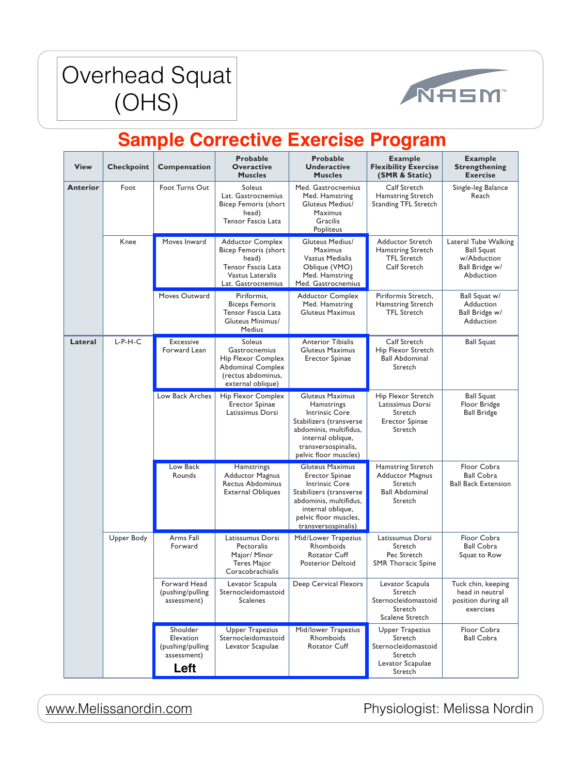#### Werhead Squ  $\overline{S}$ Overhead Squat (OHS)



| <b>View</b>     | <b>Checkpoint</b> | Compensation                                                     | <b>Probable</b><br><b>Overactive</b><br><b>Muscles</b>                                                                             | <b>Probable</b><br><b>Underactive</b><br><b>Muscles</b>                                                                                                                                            | <b>Example</b><br><b>Flexibility Exercise</b><br>(SMR & Static)                                    | <b>Example</b><br><b>Strengthening</b><br><b>Exercise</b>                                      |
|-----------------|-------------------|------------------------------------------------------------------|------------------------------------------------------------------------------------------------------------------------------------|----------------------------------------------------------------------------------------------------------------------------------------------------------------------------------------------------|----------------------------------------------------------------------------------------------------|------------------------------------------------------------------------------------------------|
| <b>Anterior</b> | Foot              | Foot Turns Out                                                   | <b>Soleus</b><br>Lat. Gastrocnemius<br><b>Bicep Femoris (short</b><br>head)<br>Tensor Fascia Lata                                  | Med. Gastrocnemius<br>Med. Hamstring<br><b>Gluteus Medius/</b><br><b>Maximus</b><br>Gracilis<br>Popliteus                                                                                          | <b>Calf Stretch</b><br><b>Hamstring Stretch</b><br><b>Standing TFL Stretch</b>                     | Single-leg Balance<br>Reach                                                                    |
|                 | Knee              | Moves Inward                                                     | <b>Adductor Complex</b><br><b>Bicep Femoris (short</b><br>head)<br>Tensor Fascia Lata<br>Vastus Lateralis<br>Lat. Gastrocnemius    | <b>Gluteus Medius/</b><br><b>Maximus</b><br><b>Vastus Medialis</b><br>Oblique (VMO)<br>Med. Hamstring<br>Med. Gastrocnemius                                                                        | <b>Adductor Stretch</b><br>Hamstring Stretch<br><b>TFL Stretch</b><br><b>Calf Stretch</b>          | <b>Lateral Tube Walking</b><br><b>Ball Squat</b><br>w/Abduction<br>Ball Bridge w/<br>Abduction |
|                 |                   | Moves Outward                                                    | Piriformis,<br><b>Biceps Femoris</b><br>Tensor Fascia Lata<br>Gluteus Minimus/<br><b>Medius</b>                                    | <b>Adductor Complex</b><br>Med. Hamstring<br><b>Gluteus Maximus</b>                                                                                                                                | Piriformis Stretch,<br>Hamstring Stretch<br><b>TFL Stretch</b>                                     | Ball Squat w/<br>Adduction<br>Ball Bridge w/<br>Adduction                                      |
| Lateral         | $L-P-H-C$         | Excessive<br>Forward Lean                                        | <b>Soleus</b><br>Gastrocnemius<br><b>Hip Flexor Complex</b><br><b>Abdominal Complex</b><br>(rectus abdominus,<br>external oblique) | <b>Anterior Tibialis</b><br><b>Gluteus Maximus</b><br><b>Erector Spinae</b>                                                                                                                        | <b>Calf Stretch</b><br>Hip Flexor Stretch<br><b>Ball Abdominal</b><br>Stretch                      | <b>Ball Squat</b>                                                                              |
|                 |                   | Low Back Arches                                                  | <b>Hip Flexor Complex</b><br><b>Erector Spinae</b><br>Latissimus Dorsi                                                             | <b>Gluteus Maximus</b><br><b>Hamstrings</b><br><b>Intrinsic Core</b><br>Stabilizers (transverse<br>abdominis, multifidus,<br>internal oblique.<br>transversospinalis,<br>pelvic floor muscles)     | Hip Flexor Stretch<br>Latissimus Dorsi<br>Stretch<br><b>Erector Spinae</b><br>Stretch              | <b>Ball Squat</b><br>Floor Bridge<br><b>Ball Bridge</b>                                        |
|                 |                   | Low Back<br>Rounds                                               | Hamstrings<br><b>Adductor Magnus</b><br><b>Rectus Abdominus</b><br><b>External Obliques</b>                                        | <b>Gluteus Maximus</b><br><b>Erector Spinae</b><br><b>Intrinsic Core</b><br>Stabilizers (transverse<br>abdominis, multifidus,<br>internal oblique,<br>pelvic floor muscles,<br>transversospinalis) | <b>Hamstring Stretch</b><br><b>Adductor Magnus</b><br>Stretch<br><b>Ball Abdominal</b><br>Stretch  | Floor Cobra<br><b>Ball Cobra</b><br><b>Ball Back Extension</b>                                 |
|                 | <b>Upper Body</b> | Arms Fall<br>Forward                                             | Latissumus Dorsi<br>Pectoralis<br>Major/ Minor<br><b>Teres Major</b><br>Coracobrachialis                                           | Mid/Lower Trapezius<br>Rhomboids<br><b>Rotator Cuff</b><br><b>Posterior Deltoid</b>                                                                                                                | Latissumus Dorsi<br>Stretch<br>Pec Stretch<br><b>SMR Thoracic Spine</b>                            | Floor Cobra<br><b>Ball Cobra</b><br>Squat to Row                                               |
|                 |                   | Forward Head<br>(pushing/pulling<br>assessment)                  | Levator Scapula<br>Sternocleidomastoid<br><b>Scalenes</b>                                                                          | <b>Deep Cervical Flexors</b>                                                                                                                                                                       | Levator Scapula<br>Stretch<br>Sternocleidomastoid<br>Stretch<br><b>Scalene Stretch</b>             | Tuck chin, keeping<br>head in neutral<br>position during all<br>exercises                      |
|                 |                   | Shoulder<br>Elevation<br>(pushing/pulling<br>assessment)<br>Left | <b>Upper Trapezius</b><br>Sternocleidomastoid<br>Levator Scapulae                                                                  | Mid/lower Trapezius<br>Rhomboids<br><b>Rotator Cuff</b>                                                                                                                                            | <b>Upper Trapezius</b><br>Stretch<br>Sternocleidomastoid<br>Stretch<br>Levator Scapulae<br>Stretch | Floor Cobra<br><b>Ball Cobra</b>                                                               |

287 [www.Melissanordin.com](http://www.Melissanordin.com) Physiologist: Melissa Nordin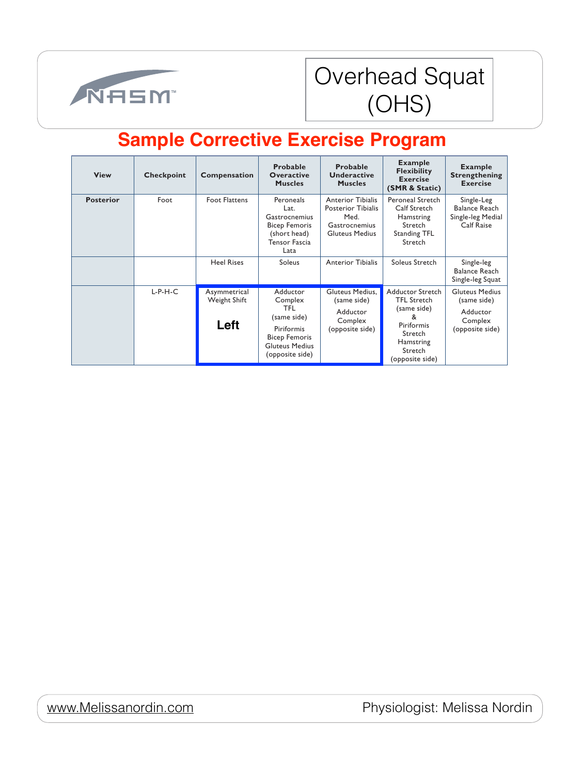

#### rhead Squat STORICAL Separations Table (COLIC) Overhead Squat (OHS)

| <b>View</b>      | <b>Checkpoint</b> | <b>Compensation</b>                  | <b>Probable</b><br><b>Overactive</b><br><b>Muscles</b>                                                                      | <b>Probable</b><br><b>Underactive</b><br><b>Muscles</b>                                                 | <b>Example</b><br><b>Flexibility</b><br><b>Exercise</b><br>(SMR & Static)                                                             | <b>Example</b><br><b>Strengthening</b><br><b>Exercise</b>                      |
|------------------|-------------------|--------------------------------------|-----------------------------------------------------------------------------------------------------------------------------|---------------------------------------------------------------------------------------------------------|---------------------------------------------------------------------------------------------------------------------------------------|--------------------------------------------------------------------------------|
| <b>Posterior</b> | Foot              | <b>Foot Flattens</b>                 | Peroneals<br>Lat.<br><b>Gastrocnemius</b><br><b>Bicep Femoris</b><br>(short head)<br><b>Tensor Fascia</b><br>Lata           | <b>Anterior Tibialis</b><br><b>Posterior Tibialis</b><br>Med.<br>Gastrocnemius<br><b>Gluteus Medius</b> | Peroneal Stretch<br><b>Calf Stretch</b><br>Hamstring<br>Stretch<br><b>Standing TFL</b><br>Stretch                                     | Single-Leg<br><b>Balance Reach</b><br>Single-leg Medial<br><b>Calf Raise</b>   |
|                  |                   | <b>Heel Rises</b>                    | <b>Soleus</b>                                                                                                               | <b>Anterior Tibialis</b>                                                                                | Soleus Stretch                                                                                                                        | Single-leg<br><b>Balance Reach</b><br>Single-leg Squat                         |
|                  | $L-P-H-C$         | Asymmetrical<br>Weight Shift<br>Left | Adductor<br>Complex<br>TFL<br>(same side)<br>Piriformis<br><b>Bicep Femoris</b><br><b>Gluteus Medius</b><br>(opposite side) | Gluteus Medius,<br>(same side)<br>Adductor<br>Complex<br>(opposite side)                                | <b>Adductor Stretch</b><br><b>TFL Stretch</b><br>(same side)<br>&<br>Piriformis<br>Stretch<br>Hamstring<br>Stretch<br>(opposite side) | <b>Gluteus Medius</b><br>(same side)<br>Adductor<br>Complex<br>(opposite side) |

<u>www.Melissanordin.com</u>

Physiologist: Melissa Nordin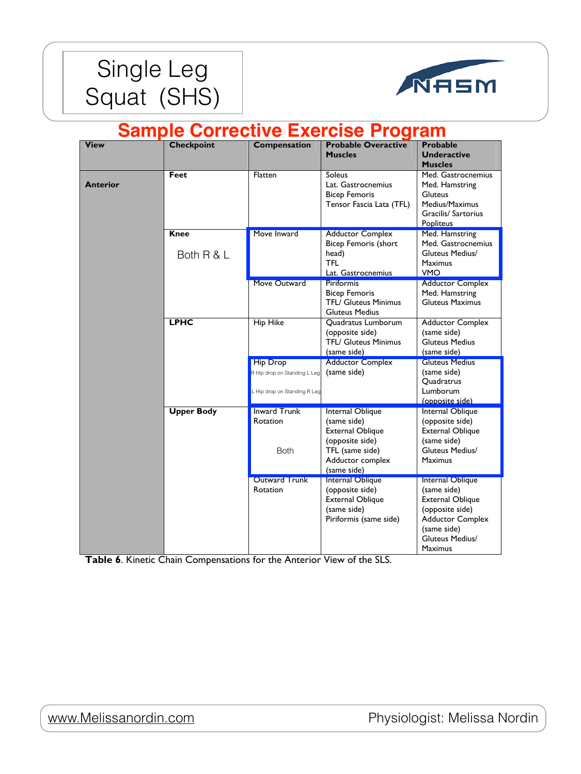



| <b>View</b>     | <b>Checkpoint</b>         | <b>Compensation</b>                                                             | <b>Probable Overactive</b>                                                                                                                 | <b>Probable</b>                                                                                                                                                     |
|-----------------|---------------------------|---------------------------------------------------------------------------------|--------------------------------------------------------------------------------------------------------------------------------------------|---------------------------------------------------------------------------------------------------------------------------------------------------------------------|
|                 |                           |                                                                                 | <b>Muscles</b>                                                                                                                             | <b>Underactive</b><br><b>Muscles</b>                                                                                                                                |
| <b>Anterior</b> | <b>Feet</b>               | Flatten                                                                         | <b>Soleus</b><br>Lat. Gastrocnemius<br><b>Bicep Femoris</b><br>Tensor Fascia Lata (TFL)                                                    | Med. Gastrocnemius<br>Med. Hamstring<br><b>Gluteus</b><br>Medius/Maximus<br><b>Gracilis/ Sartorius</b><br><b>Popliteus</b>                                          |
|                 | <b>Knee</b><br>Both R & L | Move Inward                                                                     | <b>Adductor Complex</b><br><b>Bicep Femoris (short</b><br>head)<br><b>TFL</b><br>Lat. Gastrocnemius                                        | Med. Hamstring<br>Med. Gastrocnemius<br><b>Gluteus Medius/</b><br><b>Maximus</b><br><b>VMO</b>                                                                      |
|                 |                           | <b>Move Outward</b>                                                             | <b>Piriformis</b><br><b>Bicep Femoris</b><br><b>TFL/ Gluteus Minimus</b><br><b>Gluteus Medius</b>                                          | <b>Adductor Complex</b><br>Med. Hamstring<br><b>Gluteus Maximus</b>                                                                                                 |
|                 | <b>LPHC</b>               | <b>Hip Hike</b>                                                                 | Quadratus Lumborum<br>(opposite side)<br><b>TFL/ Gluteus Minimus</b><br>(same side)                                                        | <b>Adductor Complex</b><br>(same side)<br><b>Gluteus Medius</b><br>(same side)                                                                                      |
|                 |                           | <b>Hip Drop</b><br>R Hip drop on Standing L Leg<br>L Hip drop on Standing R Leg | <b>Adductor Complex</b><br>(same side)                                                                                                     | <b>Gluteus Medius</b><br>(same side)<br>Quadratrus<br>Lumborum<br>(opposite side)                                                                                   |
|                 | <b>Upper Body</b>         | <b>Inward Trunk</b><br>Rotation<br><b>Both</b>                                  | <b>Internal Oblique</b><br>(same side)<br><b>External Oblique</b><br>(opposite side)<br>TFL (same side)<br>Adductor complex<br>(same side) | Internal Oblique<br>(opposite side)<br><b>External Oblique</b><br>(same side)<br><b>Gluteus Medius/</b><br><b>Maximus</b>                                           |
|                 |                           | <b>Outward Trunk</b><br>Rotation                                                | <b>Internal Oblique</b><br>(opposite side)<br><b>External Oblique</b><br>(same side)<br>Piriformis (same side)                             | Internal Oblique<br>(same side)<br><b>External Oblique</b><br>(opposite side)<br><b>Adductor Complex</b><br>(same side)<br><b>Gluteus Medius/</b><br><b>Maximus</b> |

**Table 6**. Kinetic Chain Compensations for the Anterior View of the SLS.

### <u>www.Melissanordin.com</u>

Physiologist: Melissa Nordin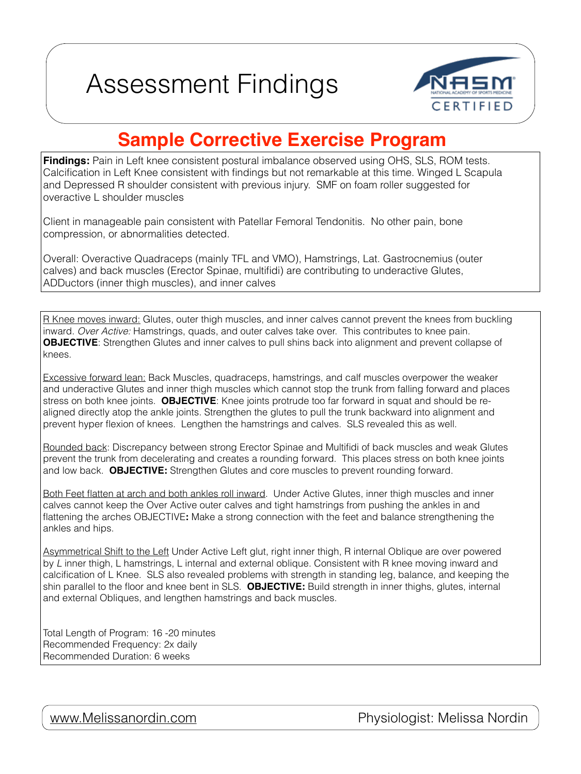



**Findings:** Pain in Left knee consistent postural imbalance observed using OHS, SLS, ROM tests. Calcification in Left Knee consistent with findings but not remarkable at this time. Winged L Scapula and Depressed R shoulder consistent with previous injury. SMF on foam roller suggested for overactive L shoulder muscles

Client in manageable pain consistent with Patellar Femoral Tendonitis. No other pain, bone compression, or abnormalities detected.

R Knee moves inward: Glutes, outer thigh muscles, and inner calves cannot prevent the knees from buckling inward. *Over Active:* Hamstrings, quads, and outer calves take over. This contributes to knee pain. **OBJECTIVE**: Strengthen Glutes and inner calves to pull shins back into alignment and prevent collapse of knees.

Overall: Overactive Quadraceps (mainly TFL and VMO), Hamstrings, Lat. Gastrocnemius (outer calves) and back muscles (Erector Spinae, multifidi) are contributing to underactive Glutes, ADDuctors (inner thigh muscles), and inner calves

Excessive forward lean: Back Muscles, quadraceps, hamstrings, and calf muscles overpower the weaker and underactive Glutes and inner thigh muscles which cannot stop the trunk from falling forward and places stress on both knee joints. **OBJECTIVE**: Knee joints protrude too far forward in squat and should be realigned directly atop the ankle joints. Strengthen the glutes to pull the trunk backward into alignment and prevent hyper flexion of knees. Lengthen the hamstrings and calves. SLS revealed this as well.

Rounded back: Discrepancy between strong Erector Spinae and Multifidi of back muscles and weak Glutes prevent the trunk from decelerating and creates a rounding forward. This places stress on both knee joints and low back. **OBJECTIVE:** Strengthen Glutes and core muscles to prevent rounding forward.

Both Feet flatten at arch and both ankles roll inward. Under Active Glutes, inner thigh muscles and inner calves cannot keep the Over Active outer calves and tight hamstrings from pushing the ankles in and flattening the arches OBJECTIVE**:** Make a strong connection with the feet and balance strengthening the ankles and hips.

Asymmetrical Shift to the Left Under Active Left glut, right inner thigh, R internal Oblique are over powered by *L* inner thigh, L hamstrings, L internal and external oblique. Consistent with R knee moving inward and calcification of L Knee. SLS also revealed problems with strength in standing leg, balance, and keeping the shin parallel to the floor and knee bent in SLS. **OBJECTIVE:** Build strength in inner thighs, glutes, internal and external Obliques, and lengthen hamstrings and back muscles.

Total Length of Program: 16 -20 minutes Recommended Frequency: 2x daily Recommended Duration: 6 weeks

[www.Melissanordin.com](http://www.Melissanordin.com) **Physiologist: Melissa Nordin**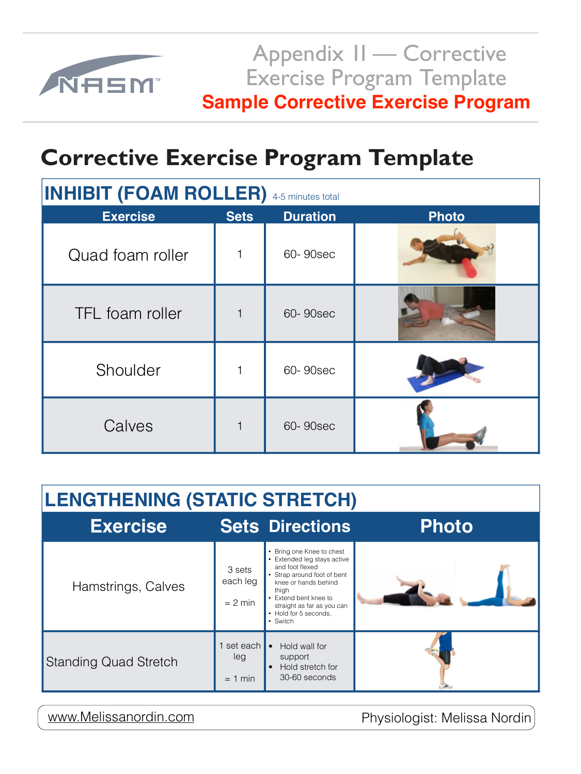## **Corrective Exercise Program Template**

| <b>INHIBIT (FOAM ROLLER)</b> 4-5 minutes total |             |                 |              |  |  |
|------------------------------------------------|-------------|-----------------|--------------|--|--|
| <b>Exercise</b>                                | <b>Sets</b> | <b>Duration</b> | <b>Photo</b> |  |  |
| Quad foam roller                               | $\mathbf 1$ | 60-90sec        |              |  |  |
| <b>TFL</b> foam roller                         | $\mathbf 1$ | 60-90sec        |              |  |  |
| Shoulder                                       | 1           | 60-90sec        |              |  |  |
| Calves                                         | $\mathbf 1$ | 60-90sec        |              |  |  |



Appendix II — Corrective Exercise Program Template **Sample Corrective Exercise Program** 

| <b>LENGTHENING (STATIC STRETCH)</b> |                                 |                                                                                                                                                                                                                                         |              |  |
|-------------------------------------|---------------------------------|-----------------------------------------------------------------------------------------------------------------------------------------------------------------------------------------------------------------------------------------|--------------|--|
| <b>Exercise</b>                     |                                 | <b>Sets Directions</b>                                                                                                                                                                                                                  | <b>Photo</b> |  |
| Hamstrings, Calves                  | 3 sets<br>each leg<br>$= 2$ min | • Bring one Knee to chest<br>• Extended leg stays active<br>and foot flexed<br>• Strap around foot of bent<br>knee or hands behind<br>thigh<br>• Extend bent knee to<br>straight as far as you can<br>• Hold for 5 seconds,<br>• Switch |              |  |
| <b>Standing Quad Stretch</b>        | set each<br>leg<br>min<br>$=$   | Hold wall for<br>$\bullet$<br>support<br>Hold stretch for<br>$\bullet$<br>30-60 seconds                                                                                                                                                 |              |  |

| www.Melissanordin.com |  |
|-----------------------|--|
|                       |  |
|                       |  |

Physiologist: Melissa Nordin.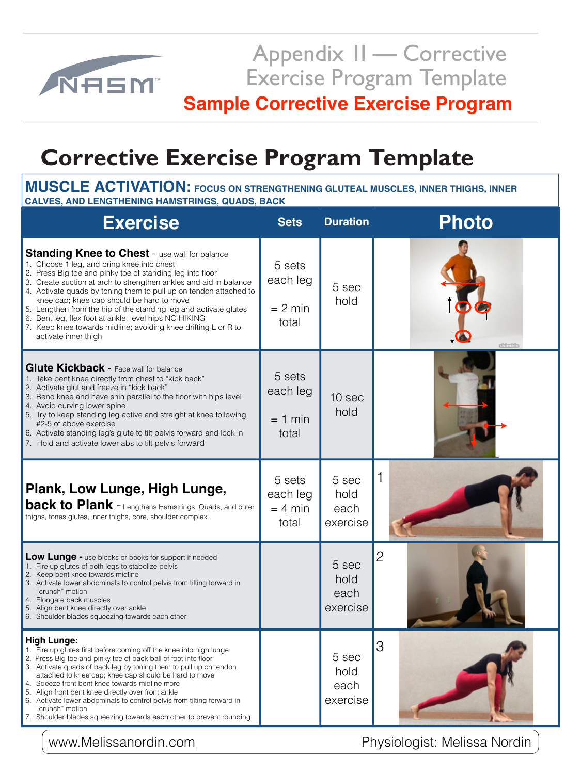

Appendix 1I — Corrective Exercise Program Template

# **Corrective Exercise Program Template**

**INTERNATIONAL AND LENGTHENING HAMSTRINGS, QUADS, BACK MUSCLE ACTIVATION: FOCUS ON STRENGTHENING GLUTEAL MUSCLES, INNER THIGHS, INNER** 

| <b>Exercise</b>                                                                                                                                                                                                                                                                                                                                                                                                                                                                                                                                                                     | <b>Sets</b>                              | <b>Duration</b>                   | Photo          |
|-------------------------------------------------------------------------------------------------------------------------------------------------------------------------------------------------------------------------------------------------------------------------------------------------------------------------------------------------------------------------------------------------------------------------------------------------------------------------------------------------------------------------------------------------------------------------------------|------------------------------------------|-----------------------------------|----------------|
| <b>Standing Knee to Chest - use wall for balance</b><br>1. Choose 1 leg, and bring knee into chest<br>2. Press Big toe and pinky toe of standing leg into floor<br>3. Create suction at arch to strengthen ankles and aid in balance<br>4. Activate quads by toning them to pull up on tendon attached to<br>knee cap; knee cap should be hard to move<br>Lengthen from the hip of the standing leg and activate glutes<br>5.<br>Bent leg, flex foot at ankle, level hips NO HIKING<br>6.<br>7. Keep knee towards midline; avoiding knee drifting L or R to<br>activate inner thigh | 5 sets<br>each leg<br>$= 2$ min<br>total | 5 sec<br>hold                     | stândsk        |
| <b>Glute Kickback - Face wall for balance</b><br>1. Take bent knee directly from chest to "kick back"<br>2. Activate glut and freeze in "kick back"<br>3. Bend knee and have shin parallel to the floor with hips level<br>4. Avoid curving lower spine<br>5. Try to keep standing leg active and straight at knee following<br>#2-5 of above exercise<br>6. Activate standing leg's glute to tilt pelvis forward and lock in<br>7. Hold and activate lower abs to tilt pelvis forward                                                                                              | 5 sets<br>each leg<br>$= 1$ min<br>total | 10 sec<br>hold                    |                |
| Plank, Low Lunge, High Lunge,<br><b>back to Plank</b> - Lengthens Hamstrings, Quads, and outer<br>thighs, tones glutes, inner thighs, core, shoulder complex                                                                                                                                                                                                                                                                                                                                                                                                                        | 5 sets<br>each leg<br>$= 4$ min<br>total | 5 sec<br>hold<br>each<br>exercise |                |
| <b>Low Lunge -</b> use blocks or books for support if needed<br>1. Fire up glutes of both legs to stabolize pelvis<br>2. Keep bent knee towards midline<br>3. Activate lower abdominals to control pelvis from tilting forward in                                                                                                                                                                                                                                                                                                                                                   |                                          | 5 sec<br>hold                     | $\overline{2}$ |

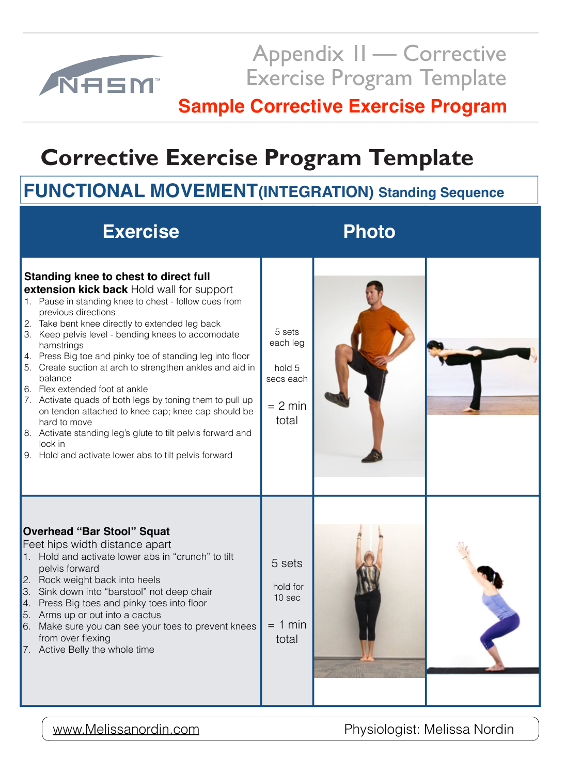

Appendix 1I — Corrective Exercise Program Template

# **Corrective Exercise Program Template**

## **FUNCTIONAL MOVEMENT(INTEGRATION) Standing Sequence**



- 
- 
- 
- 
- 
- 



### [www.Melissanordin.com](http://www.Melissanordin.com) **Physiologist: Melissa Nordin**